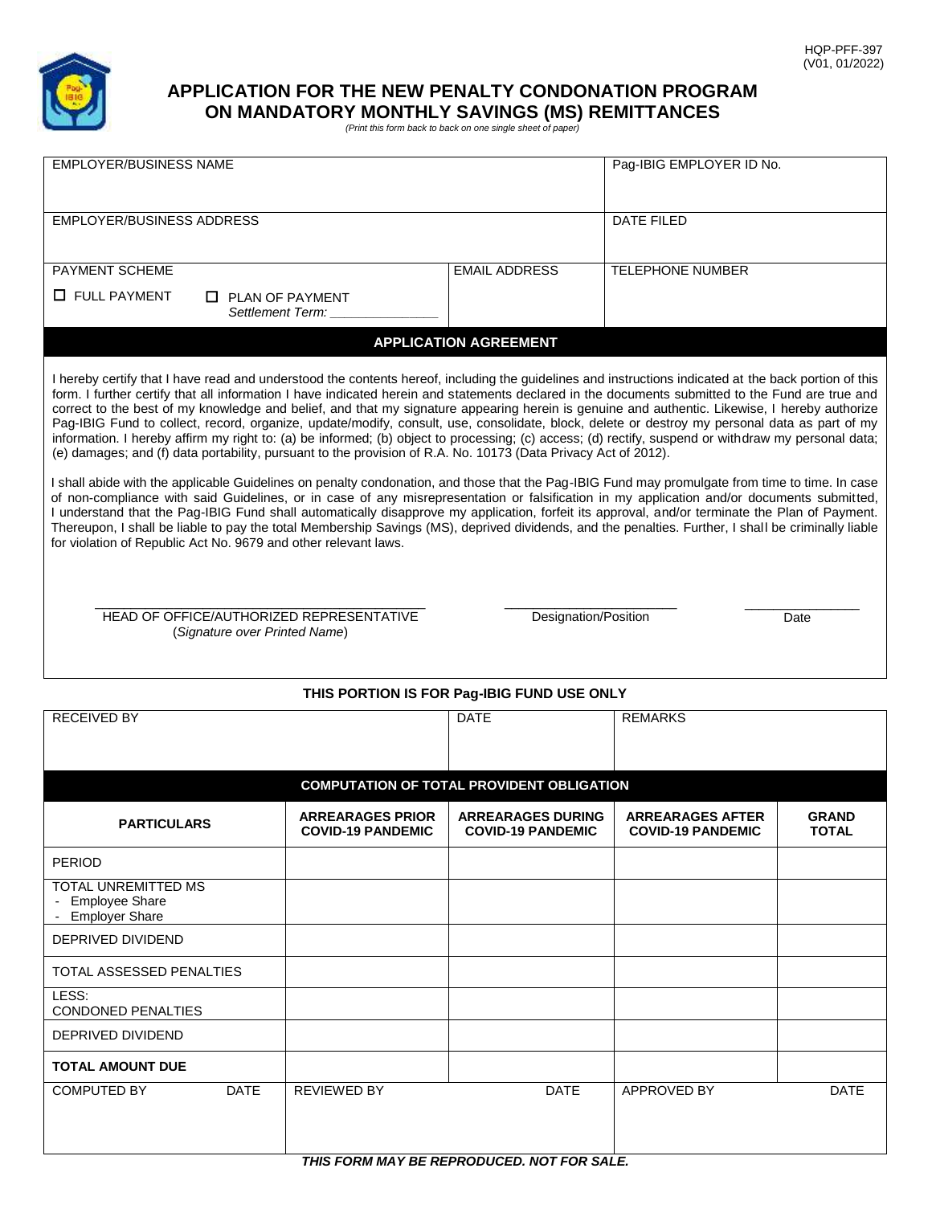

# **APPLICATION FOR THE NEW PENALTY CONDONATION PROGRAM ON MANDATORY MONTHLY SAVINGS (MS) REMITTANCES** *(Print this form back to back on one single sheet of paper)*

| <b>EMPLOYER/BUSINESS NAME</b>                                                                                                                                                                                                                                                                                                                                                                                                                                                                                                                                                                                                                                                                                                                                                                                                                                                                                                                                                                                                                                                                                                                                                                                                                                                                                                                                                                                                                                                                                                                                                                                                                                                  | Paq-IBIG EMPLOYER ID No.                            |                                                      |                                                     |                              |  |  |  |
|--------------------------------------------------------------------------------------------------------------------------------------------------------------------------------------------------------------------------------------------------------------------------------------------------------------------------------------------------------------------------------------------------------------------------------------------------------------------------------------------------------------------------------------------------------------------------------------------------------------------------------------------------------------------------------------------------------------------------------------------------------------------------------------------------------------------------------------------------------------------------------------------------------------------------------------------------------------------------------------------------------------------------------------------------------------------------------------------------------------------------------------------------------------------------------------------------------------------------------------------------------------------------------------------------------------------------------------------------------------------------------------------------------------------------------------------------------------------------------------------------------------------------------------------------------------------------------------------------------------------------------------------------------------------------------|-----------------------------------------------------|------------------------------------------------------|-----------------------------------------------------|------------------------------|--|--|--|
|                                                                                                                                                                                                                                                                                                                                                                                                                                                                                                                                                                                                                                                                                                                                                                                                                                                                                                                                                                                                                                                                                                                                                                                                                                                                                                                                                                                                                                                                                                                                                                                                                                                                                |                                                     |                                                      |                                                     |                              |  |  |  |
| EMPLOYER/BUSINESS ADDRESS                                                                                                                                                                                                                                                                                                                                                                                                                                                                                                                                                                                                                                                                                                                                                                                                                                                                                                                                                                                                                                                                                                                                                                                                                                                                                                                                                                                                                                                                                                                                                                                                                                                      | DATE FILED                                          |                                                      |                                                     |                              |  |  |  |
|                                                                                                                                                                                                                                                                                                                                                                                                                                                                                                                                                                                                                                                                                                                                                                                                                                                                                                                                                                                                                                                                                                                                                                                                                                                                                                                                                                                                                                                                                                                                                                                                                                                                                |                                                     |                                                      |                                                     |                              |  |  |  |
| PAYMENT SCHEME                                                                                                                                                                                                                                                                                                                                                                                                                                                                                                                                                                                                                                                                                                                                                                                                                                                                                                                                                                                                                                                                                                                                                                                                                                                                                                                                                                                                                                                                                                                                                                                                                                                                 |                                                     | <b>EMAIL ADDRESS</b>                                 | <b>TELEPHONE NUMBER</b>                             |                              |  |  |  |
| $\Box$ FULL PAYMENT<br>$\Box$ PLAN OF PAYMENT                                                                                                                                                                                                                                                                                                                                                                                                                                                                                                                                                                                                                                                                                                                                                                                                                                                                                                                                                                                                                                                                                                                                                                                                                                                                                                                                                                                                                                                                                                                                                                                                                                  |                                                     |                                                      |                                                     |                              |  |  |  |
|                                                                                                                                                                                                                                                                                                                                                                                                                                                                                                                                                                                                                                                                                                                                                                                                                                                                                                                                                                                                                                                                                                                                                                                                                                                                                                                                                                                                                                                                                                                                                                                                                                                                                | Settlement Term:                                    |                                                      |                                                     |                              |  |  |  |
|                                                                                                                                                                                                                                                                                                                                                                                                                                                                                                                                                                                                                                                                                                                                                                                                                                                                                                                                                                                                                                                                                                                                                                                                                                                                                                                                                                                                                                                                                                                                                                                                                                                                                |                                                     | <b>APPLICATION AGREEMENT</b>                         |                                                     |                              |  |  |  |
| I hereby certify that I have read and understood the contents hereof, including the guidelines and instructions indicated at the back portion of this<br>form. I further certify that all information I have indicated herein and statements declared in the documents submitted to the Fund are true and<br>correct to the best of my knowledge and belief, and that my signature appearing herein is genuine and authentic. Likewise, I hereby authorize<br>Pag-IBIG Fund to collect, record, organize, update/modify, consult, use, consolidate, block, delete or destroy my personal data as part of my<br>information. I hereby affirm my right to: (a) be informed; (b) object to processing; (c) access; (d) rectify, suspend or withdraw my personal data;<br>(e) damages; and (f) data portability, pursuant to the provision of R.A. No. 10173 (Data Privacy Act of 2012).<br>I shall abide with the applicable Guidelines on penalty condonation, and those that the Pag-IBIG Fund may promulgate from time to time. In case<br>of non-compliance with said Guidelines, or in case of any misrepresentation or falsification in my application and/or documents submitted,<br>I understand that the Pag-IBIG Fund shall automatically disapprove my application, forfeit its approval, and/or terminate the Plan of Payment.<br>Thereupon, I shall be liable to pay the total Membership Savings (MS), deprived dividends, and the penalties. Further, I shall be criminally liable<br>for violation of Republic Act No. 9679 and other relevant laws.<br>HEAD OF OFFICE/AUTHORIZED REPRESENTATIVE<br>Designation/Position<br>Date<br>(Signature over Printed Name) |                                                     |                                                      |                                                     |                              |  |  |  |
| THIS PORTION IS FOR Pag-IBIG FUND USE ONLY                                                                                                                                                                                                                                                                                                                                                                                                                                                                                                                                                                                                                                                                                                                                                                                                                                                                                                                                                                                                                                                                                                                                                                                                                                                                                                                                                                                                                                                                                                                                                                                                                                     |                                                     |                                                      |                                                     |                              |  |  |  |
| <b>RECEIVED BY</b>                                                                                                                                                                                                                                                                                                                                                                                                                                                                                                                                                                                                                                                                                                                                                                                                                                                                                                                                                                                                                                                                                                                                                                                                                                                                                                                                                                                                                                                                                                                                                                                                                                                             |                                                     | <b>DATE</b>                                          | <b>REMARKS</b>                                      |                              |  |  |  |
|                                                                                                                                                                                                                                                                                                                                                                                                                                                                                                                                                                                                                                                                                                                                                                                                                                                                                                                                                                                                                                                                                                                                                                                                                                                                                                                                                                                                                                                                                                                                                                                                                                                                                |                                                     |                                                      |                                                     |                              |  |  |  |
|                                                                                                                                                                                                                                                                                                                                                                                                                                                                                                                                                                                                                                                                                                                                                                                                                                                                                                                                                                                                                                                                                                                                                                                                                                                                                                                                                                                                                                                                                                                                                                                                                                                                                |                                                     |                                                      |                                                     |                              |  |  |  |
| <b>COMPUTATION OF TOTAL PROVIDENT OBLIGATION</b>                                                                                                                                                                                                                                                                                                                                                                                                                                                                                                                                                                                                                                                                                                                                                                                                                                                                                                                                                                                                                                                                                                                                                                                                                                                                                                                                                                                                                                                                                                                                                                                                                               |                                                     |                                                      |                                                     |                              |  |  |  |
| <b>PARTICULARS</b>                                                                                                                                                                                                                                                                                                                                                                                                                                                                                                                                                                                                                                                                                                                                                                                                                                                                                                                                                                                                                                                                                                                                                                                                                                                                                                                                                                                                                                                                                                                                                                                                                                                             | <b>ARREARAGES PRIOR</b><br><b>COVID-19 PANDEMIC</b> | <b>ARREARAGES DURING</b><br><b>COVID-19 PANDEMIC</b> | <b>ARREARAGES AFTER</b><br><b>COVID-19 PANDEMIC</b> | <b>GRAND</b><br><b>TOTAL</b> |  |  |  |
| <b>PERIOD</b>                                                                                                                                                                                                                                                                                                                                                                                                                                                                                                                                                                                                                                                                                                                                                                                                                                                                                                                                                                                                                                                                                                                                                                                                                                                                                                                                                                                                                                                                                                                                                                                                                                                                  |                                                     |                                                      |                                                     |                              |  |  |  |
| <b>TOTAL UNREMITTED MS</b><br><b>Employee Share</b><br><b>Employer Share</b>                                                                                                                                                                                                                                                                                                                                                                                                                                                                                                                                                                                                                                                                                                                                                                                                                                                                                                                                                                                                                                                                                                                                                                                                                                                                                                                                                                                                                                                                                                                                                                                                   |                                                     |                                                      |                                                     |                              |  |  |  |
| DEPRIVED DIVIDEND                                                                                                                                                                                                                                                                                                                                                                                                                                                                                                                                                                                                                                                                                                                                                                                                                                                                                                                                                                                                                                                                                                                                                                                                                                                                                                                                                                                                                                                                                                                                                                                                                                                              |                                                     |                                                      |                                                     |                              |  |  |  |
| TOTAL ASSESSED PENALTIES                                                                                                                                                                                                                                                                                                                                                                                                                                                                                                                                                                                                                                                                                                                                                                                                                                                                                                                                                                                                                                                                                                                                                                                                                                                                                                                                                                                                                                                                                                                                                                                                                                                       |                                                     |                                                      |                                                     |                              |  |  |  |
| LESS:<br><b>CONDONED PENALTIES</b>                                                                                                                                                                                                                                                                                                                                                                                                                                                                                                                                                                                                                                                                                                                                                                                                                                                                                                                                                                                                                                                                                                                                                                                                                                                                                                                                                                                                                                                                                                                                                                                                                                             |                                                     |                                                      |                                                     |                              |  |  |  |
| DEPRIVED DIVIDEND                                                                                                                                                                                                                                                                                                                                                                                                                                                                                                                                                                                                                                                                                                                                                                                                                                                                                                                                                                                                                                                                                                                                                                                                                                                                                                                                                                                                                                                                                                                                                                                                                                                              |                                                     |                                                      |                                                     |                              |  |  |  |
| <b>TOTAL AMOUNT DUE</b>                                                                                                                                                                                                                                                                                                                                                                                                                                                                                                                                                                                                                                                                                                                                                                                                                                                                                                                                                                                                                                                                                                                                                                                                                                                                                                                                                                                                                                                                                                                                                                                                                                                        |                                                     |                                                      |                                                     |                              |  |  |  |
| <b>COMPUTED BY</b><br><b>DATE</b>                                                                                                                                                                                                                                                                                                                                                                                                                                                                                                                                                                                                                                                                                                                                                                                                                                                                                                                                                                                                                                                                                                                                                                                                                                                                                                                                                                                                                                                                                                                                                                                                                                              | <b>REVIEWED BY</b>                                  | <b>DATE</b>                                          | <b>APPROVED BY</b>                                  | <b>DATE</b>                  |  |  |  |